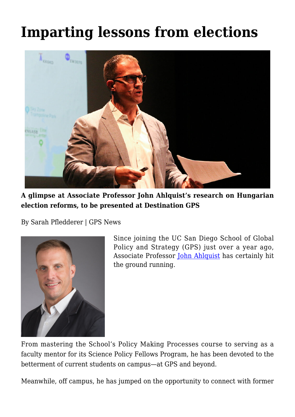# **[Imparting lessons from elections](https://gpsnews.ucsd.edu/imparting-lessons-from-elections/)**



**A glimpse at Associate Professor John Ahlquist's research on Hungarian election reforms, to be presented at Destination GPS**

By Sarah Pfledderer | GPS News



Since joining the UC San Diego School of Global Policy and Strategy (GPS) just over a year ago, Associate Professor [John Ahlquist](https://gps.ucsd.edu/faculty-directory/john-ahlquist.html) has certainly hit the ground running.

From mastering the School's Policy Making Processes course to serving as a faculty mentor for its Science Policy Fellows Program, he has been devoted to the betterment of current students on campus—at GPS and beyond.

Meanwhile, off campus, he has jumped on the opportunity to connect with former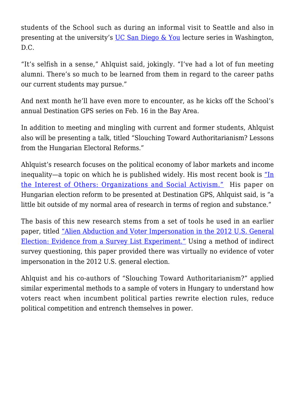students of the School such as during an informal visit to Seattle and also in presenting at the university's [UC San Diego & You](https://www.youtube.com/watch?v=49M8o-g0wCQ) lecture series in Washington, D.C.

"It's selfish in a sense," Ahlquist said, jokingly. "I've had a lot of fun meeting alumni. There's so much to be learned from them in regard to the career paths our current students may pursue."

And next month he'll have even more to encounter, as he kicks off the School's annual Destination GPS series on Feb. 16 in the Bay Area.

In addition to meeting and mingling with current and former students, Ahlquist also will be presenting a talk, titled "Slouching Toward Authoritarianism? Lessons from the Hungarian Electoral Reforms."

Ahlquist's research focuses on the political economy of labor markets and income inequality—a topic on which he is published widely. His most recent book is ["In](https://www.amazon.com/In-Interest-Others-Organizations-Activism/dp/0691158576) [the Interest of Others: Organizations and Social Activism."](https://www.amazon.com/In-Interest-Others-Organizations-Activism/dp/0691158576) His paper on Hungarian election reform to be presented at Destination GPS, Ahlquist said, is "a little bit outside of my normal area of research in terms of region and substance."

The basis of this new research stems from a set of tools he used in an earlier paper, titled ["Alien Abduction and Voter Impersonation in the 2012 U.S. General](http://online.liebertpub.com/doi/abs/10.1089/elj.2013.0231) [Election: Evidence from a Survey List Experiment."](http://online.liebertpub.com/doi/abs/10.1089/elj.2013.0231) Using a method of indirect survey questioning, this paper provided there was virtually no evidence of voter impersonation in the 2012 U.S. general election.

Ahlquist and his co-authors of "Slouching Toward Authoritarianism?" applied similar experimental methods to a sample of voters in Hungary to understand how voters react when incumbent political parties rewrite election rules, reduce political competition and entrench themselves in power.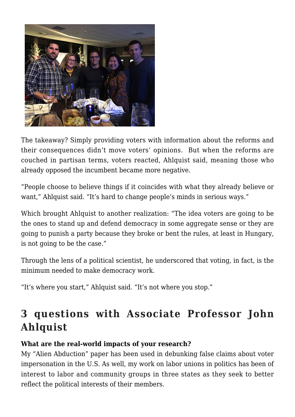

The takeaway? Simply providing voters with information about the reforms and their consequences didn't move voters' opinions. But when the reforms are couched in partisan terms, voters reacted, Ahlquist said, meaning those who already opposed the incumbent became more negative.

"People choose to believe things if it coincides with what they already believe or want," Ahlquist said. "It's hard to change people's minds in serious ways."

Which brought Ahlquist to another realization: "The idea voters are going to be the ones to stand up and defend democracy in some aggregate sense or they are going to punish a party because they broke or bent the rules, at least in Hungary, is not going to be the case."

Through the lens of a political scientist, he underscored that voting, in fact, is the minimum needed to make democracy work.

"It's where you start," Ahlquist said. "It's not where you stop."

## **3 questions with Associate Professor John Ahlquist**

#### **What are the real-world impacts of your research?**

My "Alien Abduction" paper has been used in debunking false claims about voter impersonation in the U.S. As well, my work on labor unions in politics has been of interest to labor and community groups in three states as they seek to better reflect the political interests of their members.